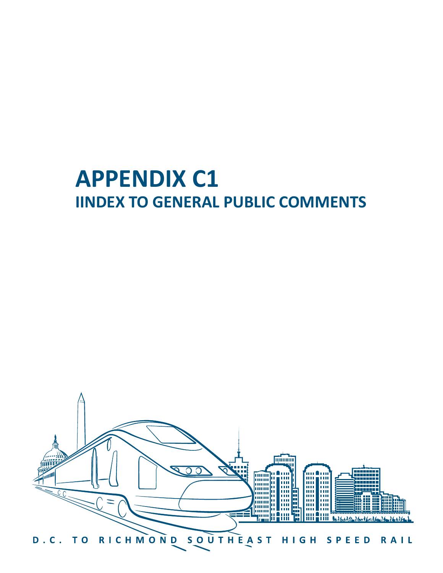# **APPENDIX C1 IINDEX TO GENERAL PUBLIC COMMENTS**

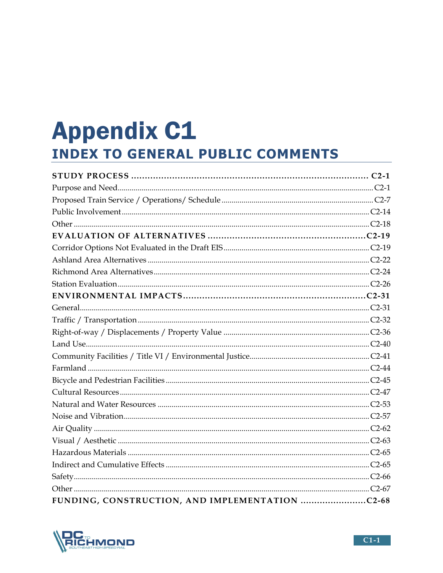# **Appendix C1 INDEX TO GENERAL PUBLIC COMMENTS**

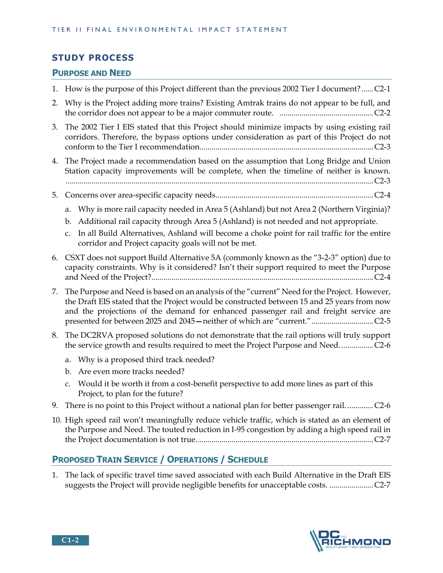## **STUDY PROCESS**

## **PURPOSE AND NEED**

- 1. How is the purpose of this Project different than the previous 2002 Tier I document? ...... C2-1
- 2. Why is the Project adding more trains? Existing Amtrak trains do not appear to be full, and the corridor does not appear to be a major commuter route. ............................................... C2-2
- 3. The 2002 Tier I EIS stated that this Project should minimize impacts by using existing rail corridors. Therefore, the bypass options under consideration as part of this Project do not conform to the Tier I recommendation. ...................................................................................... C2-3
- 4. The Project made a recommendation based on the assumption that Long Bridge and Union Station capacity improvements will be complete, when the timeline of neither is known. .......................................................................................................................................................... C2-3
- 5. Concerns over area-specific capacity needs ............................................................................... C2-4
	- a. Why is more rail capacity needed in Area 5 (Ashland) but not Area 2 (Northern Virginia)?
	- b. Additional rail capacity through Area 5 (Ashland) is not needed and not appropriate.
	- c. In all Build Alternatives, Ashland will become a choke point for rail traffic for the entire corridor and Project capacity goals will not be met.
- 6. CSXT does not support Build Alternative 5A (commonly known as the "3-2-3" option) due to capacity constraints. Why is it considered? Isn't their support required to meet the Purpose and Need of the Project? ............................................................................................................... C2-4
- 7. The Purpose and Need is based on an analysis of the "current" Need for the Project. However, the Draft EIS stated that the Project would be constructed between 15 and 25 years from now and the projections of the demand for enhanced passenger rail and freight service are presented for between 2025 and 2045**—**neither of which are "current." ............................... C2-5
- 8. The DC2RVA proposed solutions do not demonstrate that the rail options will truly support the service growth and results required to meet the Project Purpose and Need. ................ C2-6
	- a. Why is a proposed third track needed?
	- b. Are even more tracks needed?
	- c. Would it be worth it from a cost-benefit perspective to add more lines as part of this Project, to plan for the future?
- 9. There is no point to this Project without a national plan for better passenger rail. ............. C2-6
- 10. High speed rail won't meaningfully reduce vehicle traffic, which is stated as an element of the Purpose and Need. The touted reduction in I-95 congestion by adding a high speed rail in the Project documentation is not true. ........................................................................................ C2-7

## **PROPOSED TRAIN SERVICE / OPERATIONS / SCHEDULE**

1. The lack of specific travel time saved associated with each Build Alternative in the Draft EIS suggests the Project will provide negligible benefits for unacceptable costs. ...................... C2-7

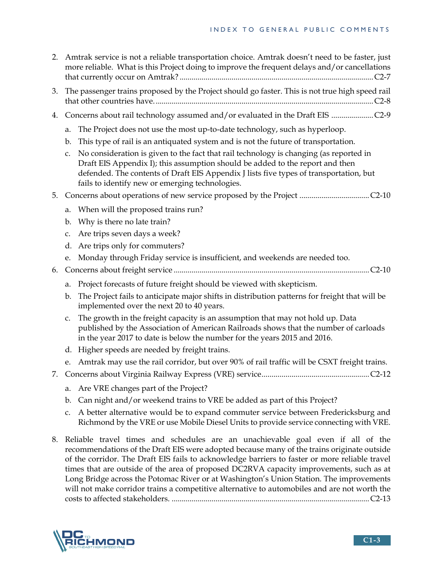| 2. | Amtrak service is not a reliable transportation choice. Amtrak doesn't need to be faster, just<br>more reliable. What is this Project doing to improve the frequent delays and/or cancellations |                                                                                                                                                                                                                                                                                                                      |  |  |  |
|----|-------------------------------------------------------------------------------------------------------------------------------------------------------------------------------------------------|----------------------------------------------------------------------------------------------------------------------------------------------------------------------------------------------------------------------------------------------------------------------------------------------------------------------|--|--|--|
| 3. | The passenger trains proposed by the Project should go faster. This is not true high speed rail                                                                                                 |                                                                                                                                                                                                                                                                                                                      |  |  |  |
| 4. |                                                                                                                                                                                                 |                                                                                                                                                                                                                                                                                                                      |  |  |  |
|    | a.                                                                                                                                                                                              | The Project does not use the most up-to-date technology, such as hyperloop.                                                                                                                                                                                                                                          |  |  |  |
|    | b.                                                                                                                                                                                              | This type of rail is an antiquated system and is not the future of transportation.                                                                                                                                                                                                                                   |  |  |  |
|    | c.                                                                                                                                                                                              | No consideration is given to the fact that rail technology is changing (as reported in<br>Draft EIS Appendix I); this assumption should be added to the report and then<br>defended. The contents of Draft EIS Appendix J lists five types of transportation, but<br>fails to identify new or emerging technologies. |  |  |  |
| 5. |                                                                                                                                                                                                 |                                                                                                                                                                                                                                                                                                                      |  |  |  |
|    | a.                                                                                                                                                                                              | When will the proposed trains run?                                                                                                                                                                                                                                                                                   |  |  |  |
|    | b.                                                                                                                                                                                              | Why is there no late train?                                                                                                                                                                                                                                                                                          |  |  |  |
|    | c.                                                                                                                                                                                              | Are trips seven days a week?                                                                                                                                                                                                                                                                                         |  |  |  |
|    | d.                                                                                                                                                                                              | Are trips only for commuters?                                                                                                                                                                                                                                                                                        |  |  |  |
|    | e.                                                                                                                                                                                              | Monday through Friday service is insufficient, and weekends are needed too.                                                                                                                                                                                                                                          |  |  |  |
| 6. |                                                                                                                                                                                                 |                                                                                                                                                                                                                                                                                                                      |  |  |  |
|    | a.                                                                                                                                                                                              | Project forecasts of future freight should be viewed with skepticism.                                                                                                                                                                                                                                                |  |  |  |
|    | b.                                                                                                                                                                                              | The Project fails to anticipate major shifts in distribution patterns for freight that will be<br>implemented over the next 20 to 40 years.                                                                                                                                                                          |  |  |  |
|    | c.                                                                                                                                                                                              | The growth in the freight capacity is an assumption that may not hold up. Data<br>published by the Association of American Railroads shows that the number of carloads<br>in the year 2017 to date is below the number for the years 2015 and 2016.                                                                  |  |  |  |
|    |                                                                                                                                                                                                 | d. Higher speeds are needed by freight trains.                                                                                                                                                                                                                                                                       |  |  |  |
|    |                                                                                                                                                                                                 | e. Amtrak may use the rail corridor, but over 90% of rail traffic will be CSXT freight trains.                                                                                                                                                                                                                       |  |  |  |
|    |                                                                                                                                                                                                 |                                                                                                                                                                                                                                                                                                                      |  |  |  |
|    | a.                                                                                                                                                                                              | Are VRE changes part of the Project?                                                                                                                                                                                                                                                                                 |  |  |  |
|    | $\mathbf{b}$ .                                                                                                                                                                                  | Can night and/or weekend trains to VRE be added as part of this Project?                                                                                                                                                                                                                                             |  |  |  |
|    | c.                                                                                                                                                                                              | A better alternative would be to expand commuter service between Fredericksburg and<br>Richmond by the VRE or use Mobile Diesel Units to provide service connecting with VRE.                                                                                                                                        |  |  |  |

8. Reliable travel times and schedules are an unachievable goal even if all of the recommendations of the Draft EIS were adopted because many of the trains originate outside of the corridor. The Draft EIS fails to acknowledge barriers to faster or more reliable travel times that are outside of the area of proposed DC2RVA capacity improvements, such as at Long Bridge across the Potomac River or at Washington's Union Station. The improvements will not make corridor trains a competitive alternative to automobiles and are not worth the costs to affected stakeholders. ................................................................................................... C2-13

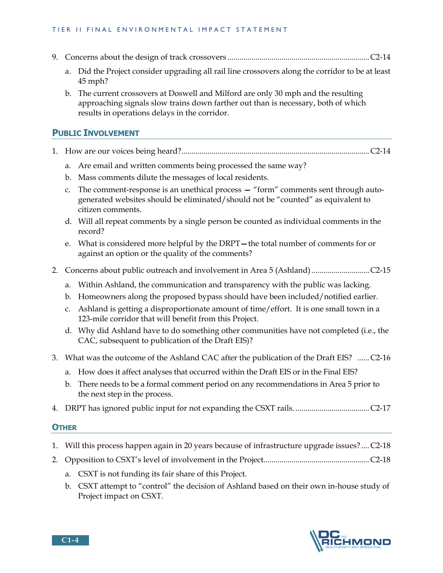#### TIER II FINAL ENVIRONMENTAL IMPACT STATEMENT

- 9. Concerns about the design of track crossovers ....................................................................... C2-14
	- a. Did the Project consider upgrading all rail line crossovers along the corridor to be at least 45 mph?
	- b. The current crossovers at Doswell and Milford are only 30 mph and the resulting approaching signals slow trains down farther out than is necessary, both of which results in operations delays in the corridor.

## **PUBLIC INVOLVEMENT**

- 1. How are our voices being heard? .............................................................................................. C2-14
	- a. Are email and written comments being processed the same way?
	- b. Mass comments dilute the messages of local residents.
	- c. The comment-response is an unethical process **—** "form" comments sent through autogenerated websites should be eliminated/should not be "counted" as equivalent to citizen comments.
	- d. Will all repeat comments by a single person be counted as individual comments in the record?
	- e. What is considered more helpful by the DRPT**—**the total number of comments for or against an option or the quality of the comments?
- 2. Concerns about public outreach and involvement in Area 5 (Ashland) ............................. C2-15
	- a. Within Ashland, the communication and transparency with the public was lacking.
	- b. Homeowners along the proposed bypass should have been included/notified earlier.
	- c. Ashland is getting a disproportionate amount of time/effort. It is one small town in a 123-mile corridor that will benefit from this Project.
	- d. Why did Ashland have to do something other communities have not completed (i.e., the CAC, subsequent to publication of the Draft EIS)?
- 3. What was the outcome of the Ashland CAC after the publication of the Draft EIS? ...... C2-16
	- a. How does it affect analyses that occurred within the Draft EIS or in the Final EIS?
	- b. There needs to be a formal comment period on any recommendations in Area 5 prior to the next step in the process.
- 4. DRPT has ignored public input for not expanding the CSXT rails. ..................................... C2-17

#### **OTHER**

- 1. Will this process happen again in 20 years because of infrastructure upgrade issues? .... C2-18
- 2. Opposition to CSXT's level of involvement in the Project..................................................... C2-18
	- a. CSXT is not funding its fair share of this Project.
	- b. CSXT attempt to "control" the decision of Ashland based on their own in-house study of Project impact on CSXT.

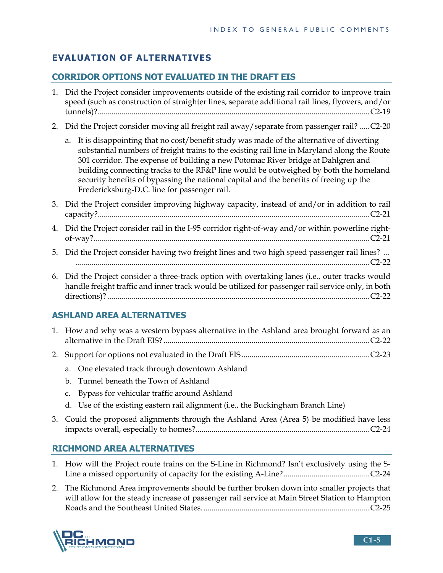# **EVALUATION OF ALTERNATIVES**

# **CORRIDOR OPTIONS NOT EVALUATED IN THE DRAFT EIS**

- 1. Did the Project consider improvements outside of the existing rail corridor to improve train speed (such as construction of straighter lines, separate additional rail lines, flyovers, and/or tunnels)? ........................................................................................................................................ C2-19
- 2. Did the Project consider moving all freight rail away/separate from passenger rail? ..... C2-20
	- a. It is disappointing that no cost/benefit study was made of the alternative of diverting substantial numbers of freight trains to the existing rail line in Maryland along the Route 301 corridor. The expense of building a new Potomac River bridge at Dahlgren and building connecting tracks to the RF&P line would be outweighed by both the homeland security benefits of bypassing the national capital and the benefits of freeing up the Fredericksburg-D.C. line for passenger rail.
- 3. Did the Project consider improving highway capacity, instead of and/or in addition to rail capacity? ........................................................................................................................................ C2-21
- 4. Did the Project consider rail in the I-95 corridor right-of-way and/or within powerline rightof-way? .......................................................................................................................................... C2-21
- 5. Did the Project consider having two freight lines and two high speed passenger rail lines? ... ................................................................................................................................................... C2-22
- 6. Did the Project consider a three-track option with overtaking lanes (i.e., outer tracks would handle freight traffic and inner track would be utilized for passenger rail service only, in both directions)? ................................................................................................................................... C2-22

# **ASHLAND AREA ALTERNATIVES**

- 1. How and why was a western bypass alternative in the Ashland area brought forward as an alternative in the Draft EIS? ....................................................................................................... C2-22
- 2. Support for options not evaluated in the Draft EIS ................................................................ C2-23
	- a. One elevated track through downtown Ashland
	- b. Tunnel beneath the Town of Ashland
	- c. Bypass for vehicular traffic around Ashland
	- d. Use of the existing eastern rail alignment (i.e., the Buckingham Branch Line)
- 3. Could the proposed alignments through the Ashland Area (Area 5) be modified have less impacts overall, especially to homes? ....................................................................................... C2-24

# **RICHMOND AREA ALTERNATIVES**

- 1. How will the Project route trains on the S-Line in Richmond? Isn't exclusively using the S-Line a missed opportunity of capacity for the existing A-Line? ........................................... C2-24
- 2. The Richmond Area improvements should be further broken down into smaller projects that will allow for the steady increase of passenger rail service at Main Street Station to Hampton Roads and the Southeast United States. ................................................................................... C2-25

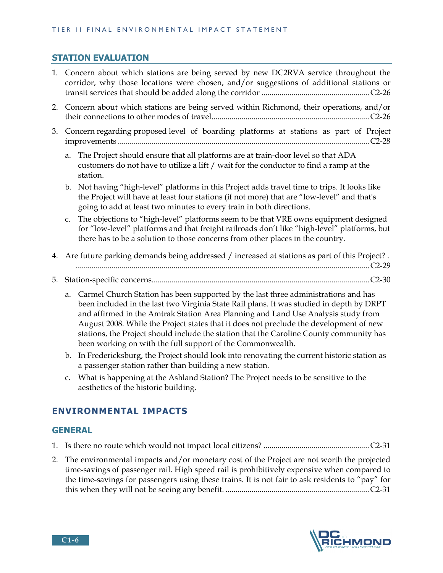## **STATION EVALUATION**

- 1. Concern about which stations are being served by new DC2RVA service throughout the corridor, why those locations were chosen, and/or suggestions of additional stations or transit services that should be added along the corridor ...................................................... C2-26
- 2. Concern about which stations are being served within Richmond, their operations, and/or their connections to other modes of travel ............................................................................... C2-26
- 3. Concern regarding proposed level of boarding platforms at stations as part of Project improvements .............................................................................................................................. C2-28
	- a. The Project should ensure that all platforms are at train-door level so that ADA customers do not have to utilize a lift / wait for the conductor to find a ramp at the station.
	- b. Not having "high-level" platforms in this Project adds travel time to trips. It looks like the Project will have at least four stations (if not more) that are "low-level" and that's going to add at least two minutes to every train in both directions.
	- c. The objections to "high-level" platforms seem to be that VRE owns equipment designed for "low-level" platforms and that freight railroads don't like "high-level" platforms, but there has to be a solution to those concerns from other places in the country.
- 4. Are future parking demands being addressed / increased at stations as part of this Project? . ................................................................................................................................................... C2-29
- 5. Station-specific concerns ............................................................................................................. C2-30
	- a. Carmel Church Station has been supported by the last three administrations and has been included in the last two Virginia State Rail plans. It was studied in depth by DRPT and affirmed in the Amtrak Station Area Planning and Land Use Analysis study from August 2008. While the Project states that it does not preclude the development of new stations, the Project should include the station that the Caroline County community has been working on with the full support of the Commonwealth.
	- b. In Fredericksburg, the Project should look into renovating the current historic station as a passenger station rather than building a new station.
	- c. What is happening at the Ashland Station? The Project needs to be sensitive to the aesthetics of the historic building.

# **ENVIRONMENTAL IMPACTS**

## **GENERAL**

- 1. Is there no route which would not impact local citizens? ..................................................... C2-31
- 2. The environmental impacts and/or monetary cost of the Project are not worth the projected time-savings of passenger rail. High speed rail is prohibitively expensive when compared to the time-savings for passengers using these trains. It is not fair to ask residents to "pay" for this when they will not be seeing any benefit. ........................................................................ C2-31

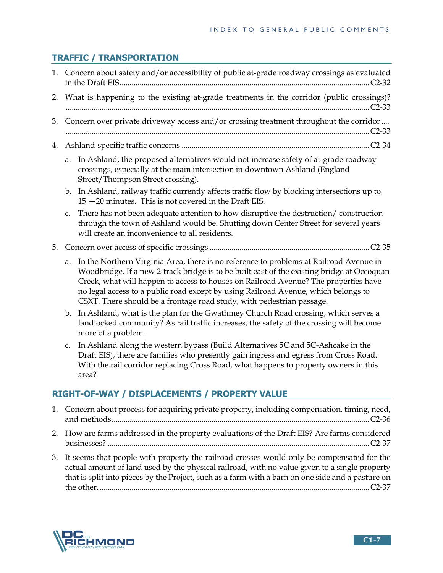# **TRAFFIC / TRANSPORTATION**

|    | 1. Concern about safety and/or accessibility of public at-grade roadway crossings as evaluated                                                                                                                                                                                                                                                                                                                                                   |  |  |  |
|----|--------------------------------------------------------------------------------------------------------------------------------------------------------------------------------------------------------------------------------------------------------------------------------------------------------------------------------------------------------------------------------------------------------------------------------------------------|--|--|--|
| 2. | What is happening to the existing at-grade treatments in the corridor (public crossings)?                                                                                                                                                                                                                                                                                                                                                        |  |  |  |
| 3. | Concern over private driveway access and/or crossing treatment throughout the corridor                                                                                                                                                                                                                                                                                                                                                           |  |  |  |
| 4. |                                                                                                                                                                                                                                                                                                                                                                                                                                                  |  |  |  |
|    | In Ashland, the proposed alternatives would not increase safety of at-grade roadway<br>a.<br>crossings, especially at the main intersection in downtown Ashland (England<br>Street/Thompson Street crossing).                                                                                                                                                                                                                                    |  |  |  |
|    | In Ashland, railway traffic currently affects traffic flow by blocking intersections up to<br>b.<br>$15 - 20$ minutes. This is not covered in the Draft EIS.                                                                                                                                                                                                                                                                                     |  |  |  |
|    | There has not been adequate attention to how disruptive the destruction/construction<br>c.<br>through the town of Ashland would be. Shutting down Center Street for several years<br>will create an inconvenience to all residents.                                                                                                                                                                                                              |  |  |  |
| 5. |                                                                                                                                                                                                                                                                                                                                                                                                                                                  |  |  |  |
|    | In the Northern Virginia Area, there is no reference to problems at Railroad Avenue in<br>a.<br>Woodbridge. If a new 2-track bridge is to be built east of the existing bridge at Occoquan<br>Creek, what will happen to access to houses on Railroad Avenue? The properties have<br>no legal access to a public road except by using Railroad Avenue, which belongs to<br>CSXT. There should be a frontage road study, with pedestrian passage. |  |  |  |
|    | In Ashland, what is the plan for the Gwathmey Church Road crossing, which serves a<br>b.<br>landlocked community? As rail traffic increases, the safety of the crossing will become<br>more of a problem.                                                                                                                                                                                                                                        |  |  |  |
|    | In Ashland along the western bypass (Build Alternatives 5C and 5C-Ashcake in the<br>c.<br>Draft EIS), there are families who presently gain ingress and egress from Cross Road.<br>With the rail corridor replacing Cross Road, what happens to property owners in this<br>area?                                                                                                                                                                 |  |  |  |
|    | RIGHT-OF-WAY / DISPLACEMENTS / PROPERTY VALUE                                                                                                                                                                                                                                                                                                                                                                                                    |  |  |  |
| 1. | Concern about process for acquiring private property, including compensation, timing, need,                                                                                                                                                                                                                                                                                                                                                      |  |  |  |
|    | 2. How are farms addressed in the property evaluations of the Draft EIS? Are farms considered                                                                                                                                                                                                                                                                                                                                                    |  |  |  |

3. It seems that people with property the railroad crosses would only be compensated for the actual amount of land used by the physical railroad, with no value given to a single property that is split into pieces by the Project, such as a farm with a barn on one side and a pasture on the other. ....................................................................................................................................... C2-37

businesses? ................................................................................................................................... C2-37

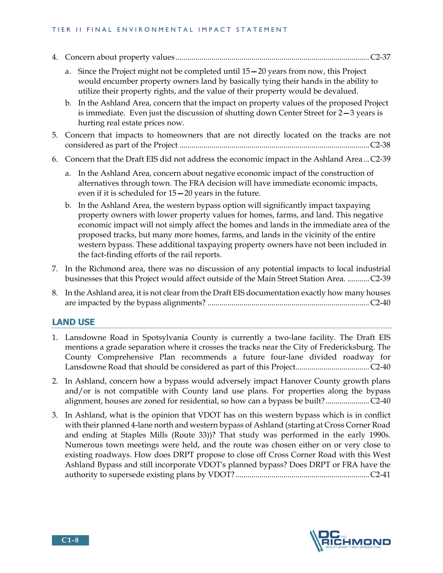#### TIER II FINAL ENVIRONMENTAL IMPACT STATEMENT

- 4. Concern about property values ................................................................................................. C2-37
	- a. Since the Project might not be completed until 15**—**20 years from now, this Project would encumber property owners land by basically tying their hands in the ability to utilize their property rights, and the value of their property would be devalued.
	- b. In the Ashland Area, concern that the impact on property values of the proposed Project is immediate. Even just the discussion of shutting down Center Street for 2**—**3 years is hurting real estate prices now.
- 5. Concern that impacts to homeowners that are not directly located on the tracks are not considered as part of the Project ............................................................................................... C2-38
- 6. Concern that the Draft EIS did not address the economic impact in the Ashland Area ... C2-39
	- a. In the Ashland Area, concern about negative economic impact of the construction of alternatives through town. The FRA decision will have immediate economic impacts, even if it is scheduled for 15**—**20 years in the future.
	- b. In the Ashland Area, the western bypass option will significantly impact taxpaying property owners with lower property values for homes, farms, and land. This negative economic impact will not simply affect the homes and lands in the immediate area of the proposed tracks, but many more homes, farms, and lands in the vicinity of the entire western bypass. These additional taxpaying property owners have not been included in the fact-finding efforts of the rail reports.
- 7. In the Richmond area, there was no discussion of any potential impacts to local industrial businesses that this Project would affect outside of the Main Street Station Area. ........... C2-39
- 8. In the Ashland area, it is not clear from the Draft EIS documentation exactly how many houses are impacted by the bypass alignments? ................................................................................. C2-40

#### **LAND USE**

- 1. Lansdowne Road in Spotsylvania County is currently a two-lane facility. The Draft EIS mentions a grade separation where it crosses the tracks near the City of Fredericksburg. The County Comprehensive Plan recommends a future four-lane divided roadway for Lansdowne Road that should be considered as part of this Project..................................... C2-40
- 2. In Ashland, concern how a bypass would adversely impact Hanover County growth plans and/or is not compatible with County land use plans. For properties along the bypass alignment, houses are zoned for residential, so how can a bypass be built? ...................... C2-40
- 3. In Ashland, what is the opinion that VDOT has on this western bypass which is in conflict with their planned 4-lane north and western bypass of Ashland (starting at Cross Corner Road and ending at Staples Mills (Route 33))? That study was performed in the early 1990s. Numerous town meetings were held, and the route was chosen either on or very close to existing roadways. How does DRPT propose to close off Cross Corner Road with this West Ashland Bypass and still incorporate VDOT's planned bypass? Does DRPT or FRA have the authority to supersede existing plans by VDOT? ................................................................... C2-41

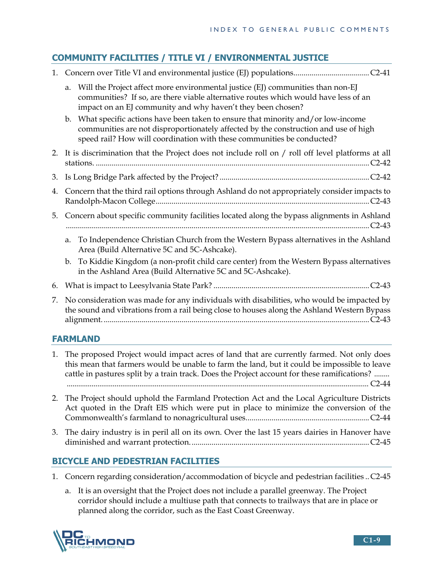# **COMMUNITY FACILITIES / TITLE VI / ENVIRONMENTAL JUSTICE**

| 1. |                                                                                                                                                                                          |                                                                                                                                                                                                                                                  |  |
|----|------------------------------------------------------------------------------------------------------------------------------------------------------------------------------------------|--------------------------------------------------------------------------------------------------------------------------------------------------------------------------------------------------------------------------------------------------|--|
|    | a.                                                                                                                                                                                       | Will the Project affect more environmental justice (EJ) communities than non-EJ<br>communities? If so, are there viable alternative routes which would have less of an<br>impact on an EJ community and why haven't they been chosen?            |  |
|    | $\mathbf{b}$ .                                                                                                                                                                           | What specific actions have been taken to ensure that minority and/or low-income<br>communities are not disproportionately affected by the construction and use of high<br>speed rail? How will coordination with these communities be conducted? |  |
|    | 2. It is discrimination that the Project does not include roll on / roll off level platforms at all                                                                                      |                                                                                                                                                                                                                                                  |  |
| 3. |                                                                                                                                                                                          |                                                                                                                                                                                                                                                  |  |
| 4. | Concern that the third rail options through Ashland do not appropriately consider impacts to                                                                                             |                                                                                                                                                                                                                                                  |  |
| 5. |                                                                                                                                                                                          | Concern about specific community facilities located along the bypass alignments in Ashland                                                                                                                                                       |  |
|    |                                                                                                                                                                                          | a. To Independence Christian Church from the Western Bypass alternatives in the Ashland<br>Area (Build Alternative 5C and 5C-Ashcake).                                                                                                           |  |
|    | b.                                                                                                                                                                                       | To Kiddie Kingdom (a non-profit child care center) from the Western Bypass alternatives<br>in the Ashland Area (Build Alternative 5C and 5C-Ashcake).                                                                                            |  |
| 6. |                                                                                                                                                                                          |                                                                                                                                                                                                                                                  |  |
| 7. | No consideration was made for any individuals with disabilities, who would be impacted by<br>the sound and vibrations from a rail being close to houses along the Ashland Western Bypass |                                                                                                                                                                                                                                                  |  |

# **FARMLAND**

- 1. The proposed Project would impact acres of land that are currently farmed. Not only does this mean that farmers would be unable to farm the land, but it could be impossible to leave cattle in pastures split by a train track. Does the Project account for these ramifications? ........ .............................................................................................................................................................. C2-44
- 2. The Project should uphold the Farmland Protection Act and the Local Agriculture Districts Act quoted in the Draft EIS which were put in place to minimize the conversion of the Commonwealth's farmland to nonagricultural uses. ............................................................. C2-44
- 3. The dairy industry is in peril all on its own. Over the last 15 years dairies in Hanover have diminished and warrant protection. ......................................................................................... C2-45

# **BICYCLE AND PEDESTRIAN FACILITIES**

- 1. Concern regarding consideration/accommodation of bicycle and pedestrian facilities .. C2-45
	- a. It is an oversight that the Project does not include a parallel greenway. The Project corridor should include a multiuse path that connects to trailways that are in place or planned along the corridor, such as the East Coast Greenway.

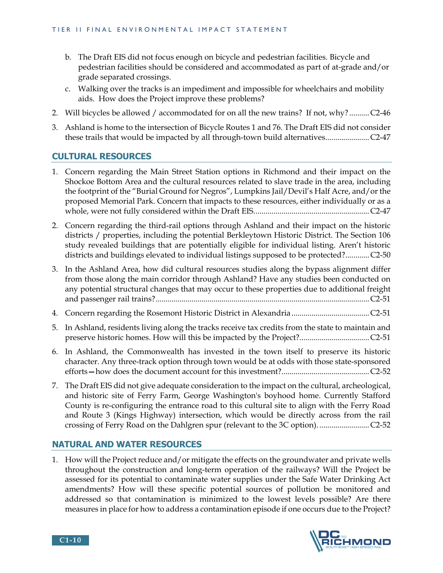- b. The Draft EIS did not focus enough on bicycle and pedestrian facilities. Bicycle and pedestrian facilities should be considered and accommodated as part of at-grade and/or grade separated crossings.
- c. Walking over the tracks is an impediment and impossible for wheelchairs and mobility aids. How does the Project improve these problems?
- 2. Will bicycles be allowed / accommodated for on all the new trains? If not, why? .......... C2-46
- 3. Ashland is home to the intersection of Bicycle Routes 1 and 76. The Draft EIS did not consider these trails that would be impacted by all through-town build alternatives. ..................... C2-47

## **CULTURAL RESOURCES**

- 1. Concern regarding the Main Street Station options in Richmond and their impact on the Shockoe Bottom Area and the cultural resources related to slave trade in the area, including the footprint of the "Burial Ground for Negros", Lumpkins Jail/Devil's Half Acre, and/or the proposed Memorial Park. Concern that impacts to these resources, either individually or as a whole, were not fully considered within the Draft EIS. ......................................................... C2-47
- 2. Concern regarding the third-rail options through Ashland and their impact on the historic districts / properties, including the potential Berkleytown Historic District. The Section 106 study revealed buildings that are potentially eligible for individual listing. Aren't historic districts and buildings elevated to individual listings supposed to be protected? ............ C2-50
- 3. In the Ashland Area, how did cultural resources studies along the bypass alignment differ from those along the main corridor through Ashland? Have any studies been conducted on any potential structural changes that may occur to these properties due to additional freight and passenger rail trains? ........................................................................................................... C2-51
- 4. Concern regarding the Rosemont Historic District in Alexandria ....................................... C2-51
- 5. In Ashland, residents living along the tracks receive tax credits from the state to maintain and preserve historic homes. How will this be impacted by the Project? ................................... C2-51
- 6. In Ashland, the Commonwealth has invested in the town itself to preserve its historic character. Any three-track option through town would be at odds with those state-sponsored efforts**—**how does the document account for this investment? ............................................ C2-52
- 7. The Draft EIS did not give adequate consideration to the impact on the cultural, archeological, and historic site of Ferry Farm, George Washington's boyhood home. Currently Stafford County is re-configuring the entrance road to this cultural site to align with the Ferry Road and Route 3 (Kings Highway) intersection, which would be directly across from the rail crossing of Ferry Road on the Dahlgren spur (relevant to the 3C option). ......................... C2-52

## **NATURAL AND WATER RESOURCES**

1. How will the Project reduce and/or mitigate the effects on the groundwater and private wells throughout the construction and long-term operation of the railways? Will the Project be assessed for its potential to contaminate water supplies under the Safe Water Drinking Act amendments? How will these specific potential sources of pollution be monitored and addressed so that contamination is minimized to the lowest levels possible? Are there measures in place for how to address a contamination episode if one occurs due to the Project?



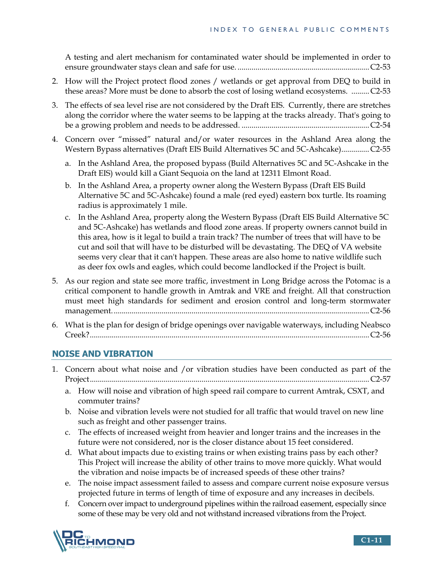A testing and alert mechanism for contaminated water should be implemented in order to ensure groundwater stays clean and safe for use. .................................................................. C2-53

- 2. How will the Project protect flood zones / wetlands or get approval from DEQ to build in these areas? More must be done to absorb the cost of losing wetland ecosystems. ......... C2-53
- 3. The effects of sea level rise are not considered by the Draft EIS. Currently, there are stretches along the corridor where the water seems to be lapping at the tracks already. That's going to be a growing problem and needs to be addressed. ................................................................ C2-54
- 4. Concern over "missed" natural and/or water resources in the Ashland Area along the Western Bypass alternatives (Draft EIS Build Alternatives 5C and 5C-Ashcake) .............. C2-55
	- a. In the Ashland Area, the proposed bypass (Build Alternatives 5C and 5C-Ashcake in the Draft EIS) would kill a Giant Sequoia on the land at 12311 Elmont Road.
	- b. In the Ashland Area, a property owner along the Western Bypass (Draft EIS Build Alternative 5C and 5C-Ashcake) found a male (red eyed) eastern box turtle. Its roaming radius is approximately 1 mile.
	- c. In the Ashland Area, property along the Western Bypass (Draft EIS Build Alternative 5C and 5C-Ashcake) has wetlands and flood zone areas. If property owners cannot build in this area, how is it legal to build a train track? The number of trees that will have to be cut and soil that will have to be disturbed will be devastating. The DEQ of VA website seems very clear that it can't happen. These areas are also home to native wildlife such as deer fox owls and eagles, which could become landlocked if the Project is built.
- 5. As our region and state see more traffic, investment in Long Bridge across the Potomac is a critical component to handle growth in Amtrak and VRE and freight. All that construction must meet high standards for sediment and erosion control and long-term stormwater management. ................................................................................................................................ C2-56
- 6. What is the plan for design of bridge openings over navigable waterways, including Neabsco Creek? ............................................................................................................................................ C2-56

# **NOISE AND VIBRATION**

- 1. Concern about what noise and /or vibration studies have been conducted as part of the Project ............................................................................................................................................ C2-57
	- a. How will noise and vibration of high speed rail compare to current Amtrak, CSXT, and commuter trains?
	- b. Noise and vibration levels were not studied for all traffic that would travel on new line such as freight and other passenger trains.
	- c. The effects of increased weight from heavier and longer trains and the increases in the future were not considered, nor is the closer distance about 15 feet considered.
	- d. What about impacts due to existing trains or when existing trains pass by each other? This Project will increase the ability of other trains to move more quickly. What would the vibration and noise impacts be of increased speeds of these other trains?
	- e. The noise impact assessment failed to assess and compare current noise exposure versus projected future in terms of length of time of exposure and any increases in decibels.
	- f. Concern over impact to underground pipelines within the railroad easement, especially since some of these may be very old and not withstand increased vibrations from the Project.

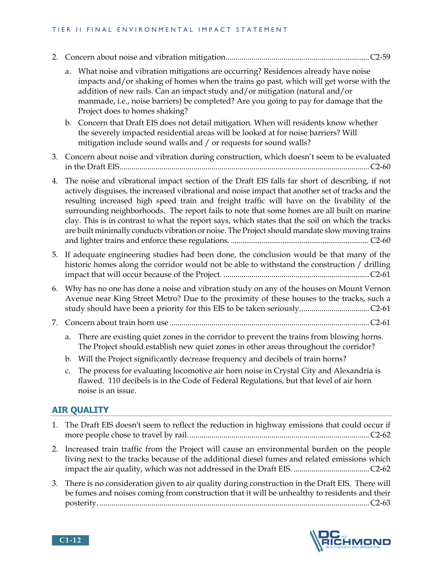#### TIER II FINAL ENVIRONMENTAL IMPACT STATEMENT

- 2. Concern about noise and vibration mitigation........................................................................ C2-59
	- a. What noise and vibration mitigations are occurring? Residences already have noise impacts and/or shaking of homes when the trains go past, which will get worse with the addition of new rails. Can an impact study and/or mitigation (natural and/or manmade, i.e., noise barriers) be completed? Are you going to pay for damage that the Project does to homes shaking?
	- b. Concern that Draft EIS does not detail mitigation. When will residents know whether the severely impacted residential areas will be looked at for noise barriers? Will mitigation include sound walls and / or requests for sound walls?
- 3. Concern about noise and vibration during construction, which doesn't seem to be evaluated in the Draft EIS ............................................................................................................................. C2-60
- 4. The noise and vibrational impact section of the Draft EIS falls far short of describing, if not actively disguises, the increased vibrational and noise impact that another set of tracks and the resulting increased high speed train and freight traffic will have on the livability of the surrounding neighborhoods. The report fails to note that some homes are all built on marine clay. This is in contrast to what the report says, which states that the soil on which the tracks are built minimally conducts vibration or noise. The Project should mandate slow moving trains and lighter trains and enforce these regulations. ........................................................................ C2-60
- 5. If adequate engineering studies had been done, the conclusion would be that many of the historic homes along the corridor would not be able to withstand the construction / drilling impact that will occur because of the Project. ......................................................................... C2-61
- 6. Why has no one has done a noise and vibration study on any of the houses on Mount Vernon Avenue near King Street Metro? Due to the proximity of these houses to the tracks, such a study should have been a priority for this EIS to be taken seriously. .................................. C2-61
- 7. Concern about train horn use .................................................................................................... C2-61
	- a. There are existing quiet zones in the corridor to prevent the trains from blowing horns. The Project should establish new quiet zones in other areas throughout the corridor?
	- b. Will the Project significantly decrease frequency and decibels of train horns?
	- c. The process for evaluating locomotive air horn noise in Crystal City and Alexandria is flawed. 110 decibels is in the Code of Federal Regulations, but that level of air horn noise is an issue.

## **AIR QUALITY**

- 1. The Draft EIS doesn't seem to reflect the reduction in highway emissions that could occur if more people chose to travel by rail. .......................................................................................... C2-62
- 2. Increased train traffic from the Project will cause an environmental burden on the people living next to the tracks because of the additional diesel fumes and related emissions which impact the air quality, which was not addressed in the Draft EIS. ...................................... C2-62
- 3. There is no consideration given to air quality during construction in the Draft EIS. There will be fumes and noises coming from construction that it will be unhealthy to residents and their posterity. ....................................................................................................................................... C2-63



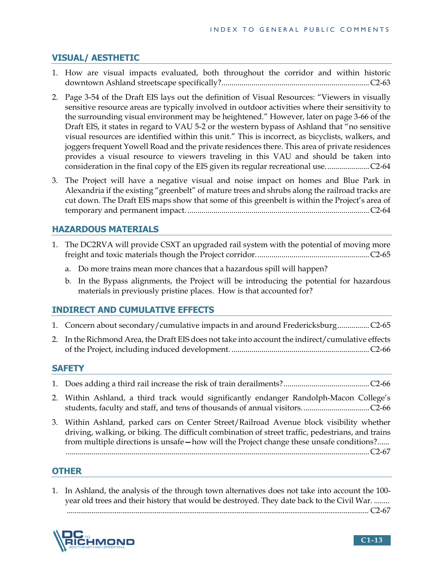# **VISUAL/ AESTHETIC**

- 1. How are visual impacts evaluated, both throughout the corridor and within historic downtown Ashland streetscape specifically? .......................................................................... C2-63
- 2. Page 3-54 of the Draft EIS lays out the definition of Visual Resources: "Viewers in visually sensitive resource areas are typically involved in outdoor activities where their sensitivity to the surrounding visual environment may be heightened." However, later on page 3-66 of the Draft EIS, it states in regard to VAU 5-2 or the western bypass of Ashland that "no sensitive visual resources are identified within this unit." This is incorrect, as bicyclists, walkers, and joggers frequent Yowell Road and the private residences there. This area of private residences provides a visual resource to viewers traveling in this VAU and should be taken into consideration in the final copy of the EIS given its regular recreational use. ..................... C2-64
- 3. The Project will have a negative visual and noise impact on homes and Blue Park in Alexandria if the existing "greenbelt" of mature trees and shrubs along the railroad tracks are cut down. The Draft EIS maps show that some of this greenbelt is within the Project's area of temporary and permanent impact. ........................................................................................... C2-64

## **HAZARDOUS MATERIALS**

- 1. The DC2RVA will provide CSXT an upgraded rail system with the potential of moving more freight and toxic materials though the Project corridor. ........................................................ C2-65
	- a. Do more trains mean more chances that a hazardous spill will happen?
	- b. In the Bypass alignments, the Project will be introducing the potential for hazardous materials in previously pristine places. How is that accounted for?

## **INDIRECT AND CUMULATIVE EFFECTS**

|  | 1. Concern about secondary/cumulative impacts in and around FredericksburgC2-65 |  |
|--|---------------------------------------------------------------------------------|--|
|  |                                                                                 |  |

2. In the Richmond Area, the Draft EIS does not take into account the indirect/cumulative effects of the Project, including induced development. ..................................................................... C2-66

## **SAFETY**

- 1. Does adding a third rail increase the risk of train derailments? ........................................... C2-66
- 2. Within Ashland, a third track would significantly endanger Randolph-Macon College's students, faculty and staff, and tens of thousands of annual visitors. ................................. C2-66
- 3. Within Ashland, parked cars on Center Street/Railroad Avenue block visibility whether driving, walking, or biking. The difficult combination of street traffic, pedestrians, and trains from multiple directions is unsafe**—**how will the Project change these unsafe conditions? ...... ........................................................................................................................................................ C2-67

## **OTHER**

1. In Ashland, the analysis of the through town alternatives does not take into account the 100 year old trees and their history that would be destroyed. They date back to the Civil War. ........

.............................................................................................................................................................. C2-67